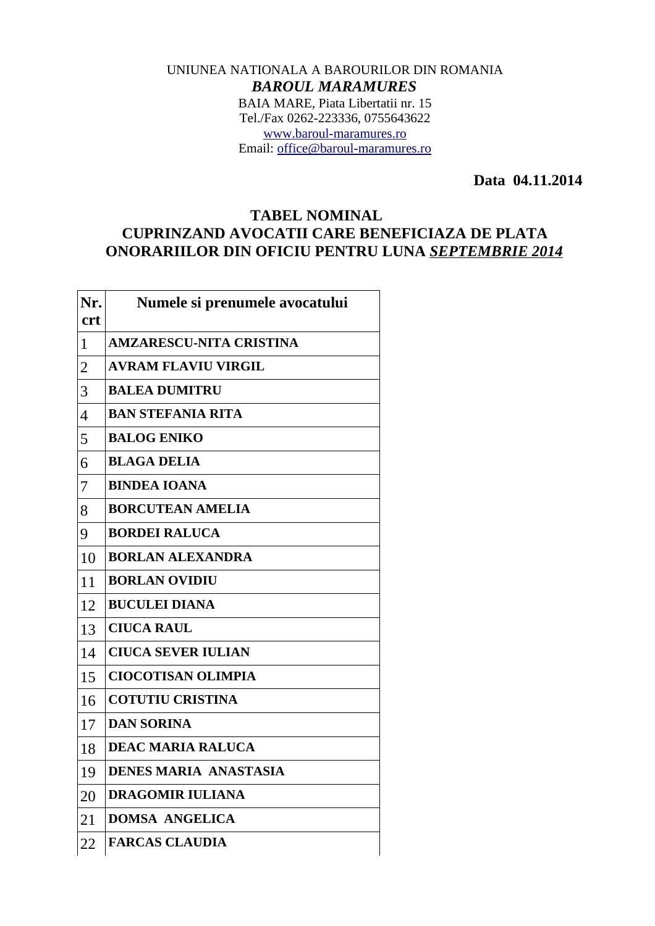## UNIUNEA NATIONALA A BAROURILOR DIN ROMANIA *BAROUL MARAMURES* BAIA MARE, Piata Libertatii nr. 15 Tel./Fax 0262-223336, 0755643622 [www.baroul-maramures.ro](http://www.baroul-maramures.ro/) Email: [office@baroul-maramures.ro](mailto:office@baroul-maramures.ro)

 **Data 04.11.2014**

## **TABEL NOMINAL CUPRINZAND AVOCATII CARE BENEFICIAZA DE PLATA ONORARIILOR DIN OFICIU PENTRU LUNA** *SEPTEMBRIE 2014*

| Nr.<br><b>crt</b> | Numele si prenumele avocatului |
|-------------------|--------------------------------|
| $\mathbf{1}$      | <b>AMZARESCU-NITA CRISTINA</b> |
| $\overline{2}$    | <b>AVRAM FLAVIU VIRGIL</b>     |
| 3                 | <b>BALEA DUMITRU</b>           |
| $\overline{4}$    | <b>BAN STEFANIA RITA</b>       |
| 5                 | <b>BALOG ENIKO</b>             |
| 6                 | <b>BLAGA DELIA</b>             |
| 7                 | <b>BINDEA IOANA</b>            |
| 8                 | <b>BORCUTEAN AMELIA</b>        |
| 9                 | <b>BORDEI RALUCA</b>           |
| 10                | <b>BORLAN ALEXANDRA</b>        |
| 11                | <b>BORLAN OVIDIU</b>           |
| 12                | <b>BUCULEI DIANA</b>           |
| 13                | <b>CIUCA RAUL</b>              |
| 14                | <b>CIUCA SEVER IULIAN</b>      |
| 15                | <b>CIOCOTISAN OLIMPIA</b>      |
| 16                | <b>COTUTIU CRISTINA</b>        |
| 17                | <b>DAN SORINA</b>              |
| 18                | <b>DEAC MARIA RALUCA</b>       |
| 19                | <b>DENES MARIA ANASTASIA</b>   |
| 20                | <b>DRAGOMIR IULIANA</b>        |
| 21                | <b>DOMSA ANGELICA</b>          |
| 22                | <b>FARCAS CLAUDIA</b>          |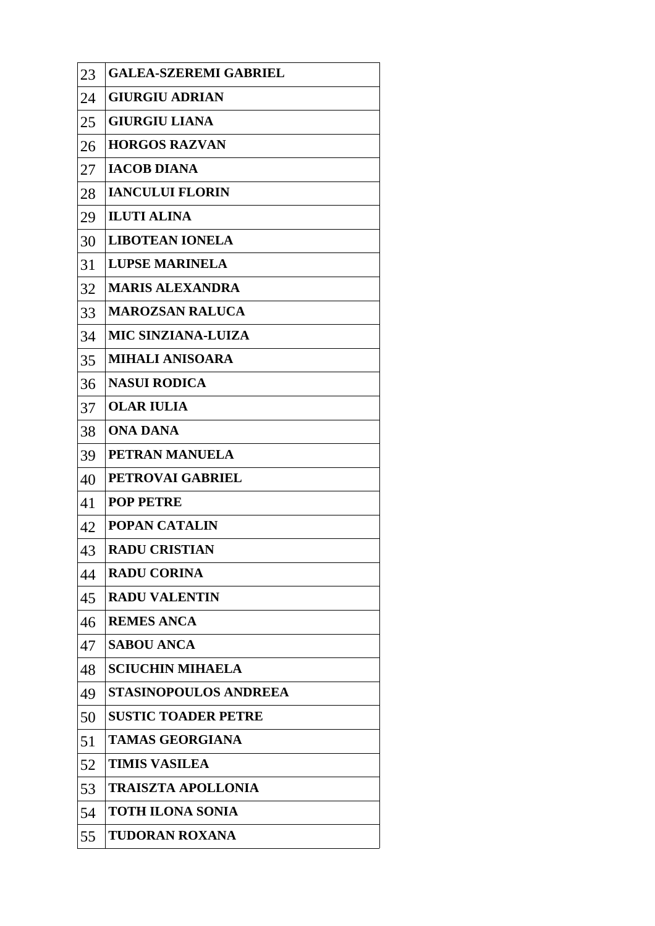| 23 | <b>GALEA-SZEREMI GABRIEL</b> |
|----|------------------------------|
| 24 | <b>GIURGIU ADRIAN</b>        |
| 25 | <b>GIURGIU LIANA</b>         |
| 26 | <b>HORGOS RAZVAN</b>         |
| 27 | <b>IACOB DIANA</b>           |
| 28 | <b>IANCULUI FLORIN</b>       |
| 29 | <b>ILUTI ALINA</b>           |
| 30 | <b>LIBOTEAN IONELA</b>       |
| 31 | <b>LUPSE MARINELA</b>        |
| 32 | <b>MARIS ALEXANDRA</b>       |
| 33 | <b>MAROZSAN RALUCA</b>       |
| 34 | <b>MIC SINZIANA-LUIZA</b>    |
| 35 | <b>MIHALI ANISOARA</b>       |
| 36 | <b>NASUI RODICA</b>          |
| 37 | <b>OLAR IULIA</b>            |
| 38 | <b>ONA DANA</b>              |
| 39 | PETRAN MANUELA               |
| 40 | PETROVAI GABRIEL             |
| 41 | <b>POP PETRE</b>             |
| 42 | <b>POPAN CATALIN</b>         |
| 43 | <b>RADU CRISTIAN</b>         |
| 44 | <b>RADU CORINA</b>           |
| 45 | <b>RADU VALENTIN</b>         |
| 46 | <b>REMES ANCA</b>            |
| 47 | <b>SABOU ANCA</b>            |
| 48 | <b>SCIUCHIN MIHAELA</b>      |
| 49 | <b>STASINOPOULOS ANDREEA</b> |
| 50 | <b>SUSTIC TOADER PETRE</b>   |
| 51 | <b>TAMAS GEORGIANA</b>       |
| 52 | <b>TIMIS VASILEA</b>         |
| 53 | <b>TRAISZTA APOLLONIA</b>    |
| 54 | <b>TOTH ILONA SONIA</b>      |
| 55 | <b>TUDORAN ROXANA</b>        |